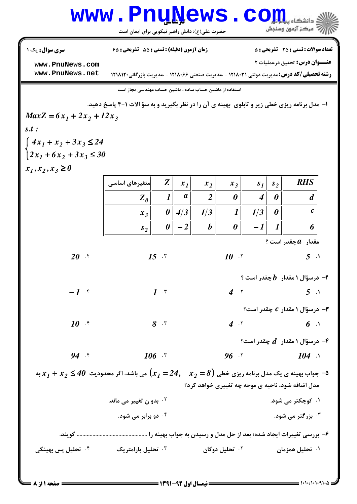## Www.PnuNews.com

|                                                                                                                             | سرے کسی⁄ ح… سامن رسبز سیکریٹی بر ای ایسان اس                                                      |                       |                  |                  |                            |                  |                  |                                                  |  |
|-----------------------------------------------------------------------------------------------------------------------------|---------------------------------------------------------------------------------------------------|-----------------------|------------------|------------------|----------------------------|------------------|------------------|--------------------------------------------------|--|
| سری سوال : یک ۱                                                                                                             | زمان آزمون (دقیقه) : تستی : 55 گشریحی : 65                                                        |                       |                  |                  |                            |                  |                  | <b>تعداد سوالات : تستی : 25 ۔ تشریحی : 5</b>     |  |
| www.PnuNews.com                                                                                                             |                                                                                                   |                       |                  |                  |                            |                  |                  | <b>عنـــوان درس:</b> تحقیق درعملیات ۲            |  |
| www.PnuNews.net                                                                                                             | <b>رشته تحصیلی/کد درس:</b> مدیریت دولتی ۱۲۱۸۰۳۱ - ،مدیریت صنعتی ۱۲۱۸۰۶۶ - ،مدیریت بازرگانی۱۲۱۸۱۲۰ |                       |                  |                  |                            |                  |                  |                                                  |  |
|                                                                                                                             | استفاده از ماشین حساب ساده ، ماشین حساب مهندسی مجاز است                                           |                       |                  |                  |                            |                  |                  |                                                  |  |
| ا- مدل برنامه ریزی خطی زیر و تابلوی بهینه ی آن را در نظر بگیرید و به سؤ الات ۱-۴ پاسخ دهید.                                 |                                                                                                   |                       |                  |                  |                            |                  |                  |                                                  |  |
| $MaxZ = 6x_1 + 2x_2 + 12x_3$                                                                                                |                                                                                                   |                       |                  |                  |                            |                  |                  |                                                  |  |
| $s.t$ :                                                                                                                     |                                                                                                   |                       |                  |                  |                            |                  |                  |                                                  |  |
| $4x_1 + x_2 + 3x_3 \le 24$                                                                                                  |                                                                                                   |                       |                  |                  |                            |                  |                  |                                                  |  |
| $2x_1 + 6x_2 + 3x_3 \le 30$                                                                                                 |                                                                                                   |                       |                  |                  |                            |                  |                  |                                                  |  |
| $x_1, x_2, x_3 \ge 0$                                                                                                       |                                                                                                   |                       |                  |                  |                            |                  |                  |                                                  |  |
|                                                                                                                             | متغیرهای اساسی                                                                                    | Z                     | $x_1$            | $x_2$            | $x_3$                      | s <sub>1</sub>   | s <sub>2</sub>   | <b>RHS</b>                                       |  |
|                                                                                                                             | $Z_0$                                                                                             | $\boldsymbol{l}$      | $\boldsymbol{a}$ | $\overline{2}$   | 0                          | $\boldsymbol{4}$ | 0                | d                                                |  |
|                                                                                                                             | $x_3$                                                                                             | $\boldsymbol{\theta}$ | 4/3              | 1/3              | $\boldsymbol{l}$           | 1/3              | 0                | $\boldsymbol{c}$                                 |  |
|                                                                                                                             | s <sub>2</sub>                                                                                    | 0                     | $-2$             | $\boldsymbol{b}$ | 0                          | $-1$             | $\boldsymbol{l}$ | 6                                                |  |
|                                                                                                                             |                                                                                                   |                       |                  |                  |                            |                  |                  | ، مقدار $\bm{a}$ چقدر است                        |  |
| $20$ f                                                                                                                      |                                                                                                   | $15$ $\cdot$          |                  |                  | $10^{-17}$                 |                  |                  | 5 <sup>1</sup>                                   |  |
|                                                                                                                             |                                                                                                   |                       |                  |                  |                            |                  |                  | ۲− درسؤال ۱ مقدار۔ $\bm{b}$ چقدر است ؟           |  |
| $-1$ $\mathcal{F}$                                                                                                          |                                                                                                   | $1 \cdot$             |                  |                  | 4.7                        |                  |                  | $5 \cdot$                                        |  |
|                                                                                                                             |                                                                                                   |                       |                  |                  |                            |                  |                  | درسؤال ۱ مقدار $\,c\,$ چقدر است؟ $-$ ۳           |  |
| $10^{-15}$                                                                                                                  | 8.5                                                                                               |                       |                  |                  |                            |                  |                  | $4^{17}$ 6 1                                     |  |
|                                                                                                                             |                                                                                                   |                       |                  |                  |                            |                  |                  | - درسؤال ۱ مقدار $\,$ چقدر است $\,$ ۰۴ $\,$      |  |
| $94.$ f                                                                                                                     | $106$ $\cdot$                                                                                     |                       |                  |                  |                            |                  |                  | $96 \tImes 104 \tImes$                           |  |
| ه- جواب بهینه ی یک مدل برنامه ریزی خطی $\big(x_1=24,\quad x_2=8\big)$ می باشد، اگر محدودیت $\,40\leq x_1+x_2\leq x$ به $\,$ |                                                                                                   |                       |                  |                  |                            |                  |                  |                                                  |  |
|                                                                                                                             |                                                                                                   |                       |                  |                  |                            |                  |                  | مدل اضافه شود، ناحیه ی موجه چه تغییری خواهد کرد؟ |  |
|                                                                                                                             | <sup>7 .</sup> بدو ن تغییر می ماند.                                                               |                       |                  |                  |                            |                  |                  | ۰۱ کوچکتر می شود.                                |  |
|                                                                                                                             | ۰ <sup>۴</sup> دو برابر می شود.                                                                   |                       |                  |                  |                            |                  |                  | بزرگتر می شود. $\cdot^{\texttt{w}}$              |  |
|                                                                                                                             |                                                                                                   |                       |                  |                  |                            |                  |                  |                                                  |  |
| ۰ <sup>۴</sup> تحلیل پس بهینگی                                                                                              | ۰ <sup>۳</sup> تحلیل پارامتریک                                                                    |                       |                  |                  | ۰ <sup>۲</sup> تحلیل دوگان |                  |                  | ۰۱ تحلیل همزمان                                  |  |
|                                                                                                                             |                                                                                                   |                       |                  |                  |                            |                  |                  |                                                  |  |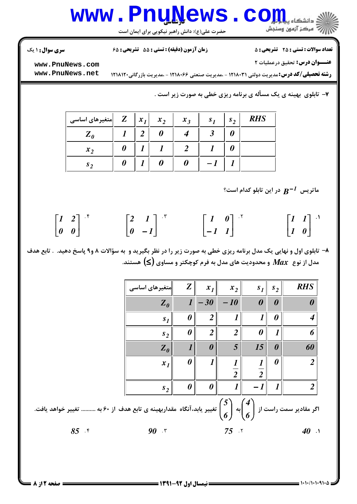## **www.PnuNews.com**

حضرت علی(ع): دانش راهبر نیکویی برای ایمان است

**تعداد سوالات : تستی : 25 - تشریحی : 5** 

زمان آزمون (دقیقه) : تستی : 55 ٪ تشریحی : 65

**سری سوال : ۱ یک** 

عنــوان درس: تحقیق درعملیات ٢

www.PnuNews.com www.PnuNews.net

**رشته تحصیلی/کد درس:**مدیریت دولتی ۱۲۱۸۰۳۱ - ،مدیریت صنعتی ۱۲۱۸۰۶۶ - ،مدیریت بازرگانی۱۲۱۸۱۲۰

۷- تابلوی بهینه ی یک مسأله ی برنامه ریزی خطی به صورت زیر است .

| متغیرهای اساسی | Z | $x_I$          | $x_2$ | $x_3$ | S <sub>1</sub> | s <sub>2</sub> | <b>RHS</b> |
|----------------|---|----------------|-------|-------|----------------|----------------|------------|
| $Z_{\theta}$   |   | $\overline{2}$ |       |       | ◡              |                |            |
| $x_2$          |   |                |       |       |                |                |            |
| $s_{2}$        |   |                |       |       |                |                |            |

ماتریس  $\, {\bf R}^{-1} \,$  در این تابلو کدام است؟

|                                       | $\begin{bmatrix} 1 & 2 \end{bmatrix}$ if | $\begin{bmatrix} 2 & 1 \\ 0 & -1 \end{bmatrix}$ . | $\begin{bmatrix} 1 & 0 \end{bmatrix}$ . | $\begin{bmatrix} 1 & 1 \\ 1 & 0 \end{bmatrix}$ |
|---------------------------------------|------------------------------------------|---------------------------------------------------|-----------------------------------------|------------------------------------------------|
| $\begin{bmatrix} 0 & 0 \end{bmatrix}$ |                                          |                                                   | $\begin{bmatrix} -I & I \end{bmatrix}$  |                                                |

۸- تابلوی اول و نهایی یک مدل برنامه ریزی خطی به صورت زیر را در نظر بگیرید و به سؤالات ۸ و۹ پاسخ دهید. . تابع هدف مدل از نوع  $\,$   $M$  و محدودیت های مدل به فرم کوچکتر و مساوی  $(\leq)$  هستند.

| <b>RHS</b>             | s <sub>2</sub>        | s <sub>1</sub>        | $x_2$            | $x_I$                 | Z                     | متغیرهای اساسی                              |
|------------------------|-----------------------|-----------------------|------------------|-----------------------|-----------------------|---------------------------------------------|
|                        | $\boldsymbol{\theta}$ | $\boldsymbol{\theta}$ | $-10$            | $-30$                 | $\boldsymbol{l}$      | $Z_{\theta}$                                |
| 4                      | 0                     | $\boldsymbol{l}$      | $\boldsymbol{l}$ | $\overline{2}$        | 0                     | s <sub>I</sub>                              |
| 6                      | $\boldsymbol{l}$      | 0                     | $\overline{2}$   | $\overline{2}$        | 0                     | s <sub>2</sub>                              |
| 60                     | $\boldsymbol{\theta}$ | 15                    | 5                | $\boldsymbol{\theta}$ |                       | $Z_{\theta}$                                |
| $\overline{2}$         | $\boldsymbol{\theta}$ | $\boldsymbol{l}$      |                  |                       | $\boldsymbol{\theta}$ | $x_I$                                       |
|                        |                       | $\overline{2}$        | $\overline{2}$   |                       |                       |                                             |
| $\overline{2}$         | $\boldsymbol{l}$      | $-1$                  | $\boldsymbol{l}$ | 0                     | $\boldsymbol{\theta}$ | $s_2$                                       |
| اگر مقادیر سمت راست از |                       |                       | 5<br>به<br>╭     |                       |                       | تغییر یابد،آنگاه مقداربهینه ی تابع هدف از ۰ |

۶ به .......... تغییر خواهد بافت.  $(6)$   $(6)$  $85.5$  $40.1$  $90$   $\mathcal{r}$  $75$   $\cdot$ 

 $= 1.111111110$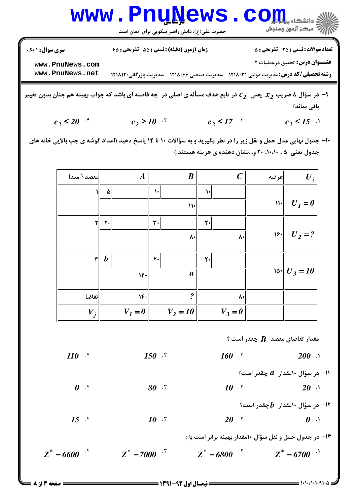|                 | WWW.Pnu News.Com                                                                                       |                                              |
|-----------------|--------------------------------------------------------------------------------------------------------|----------------------------------------------|
|                 | حضرت علی(ع): دانش راهبر نیکویی برای ایمان است                                                          |                                              |
| سری سوال: ۱ یک  | زمان آزمون (دقیقه) : تستی : 55 تشریحی : 65                                                             | <b>تعداد سوالات : تستي : 25 - تشريحي : 5</b> |
| www.PnuNews.com |                                                                                                        | عنـــوان درس: تحقیق درعملیات ۲               |
| www.PnuNews.net | <b>رشته تحصیلی/کد درس:</b> مدیریت دولتی ۱۲۱۸۰۳۱ - ،مدیریت صنعتی ۱۲۱۸۰۶۶ - ،مدیریت بازرگانی۱۲۱۸۱۲۰      |                                              |
|                 | ا9 – در باللہ اسٹریٹ میں میں تاہم جزئیں آلب امارے میں فامل در مارٹ کر میاں پیر زمین میں ایک میں میں تن |                                              |

- در سؤال ۸ ضریب  $x_2$  یعنی  $c_2$  در تابع هدف مساله ی اصلی در چه فاصله ای باشد که جواب بهین ن بدون تغيير باقى بماند؟
	- $c_2 \geq 10^{-8}$   $c_2 \leq 17^{-8}$  $c_2 \le 20$  f  $c_2 \leq 15$
- ۱۰– جدول نهایی مدل حمل و نقل زیر را در نظر بگیرید و به سؤالات ۱۰ تا ۱۴ پاسخ دهید.(اعداد گوشه ی چپ بالایی خانه های جدول یعنی ۰٫۵۰٬۱۰٬۱۰ و…نشان دهنده ی هزینه هستند.)

| مقصد\ مبدأ   |                  | $\boldsymbol{A}$ |              | $\boldsymbol{B}$           |                | $\boldsymbol{C}$  | عرضه          | $U_i$            |
|--------------|------------------|------------------|--------------|----------------------------|----------------|-------------------|---------------|------------------|
|              | ۵                |                  | $\mathsf{L}$ |                            | $\mathcal{L}$  |                   |               |                  |
|              |                  |                  |              | $\mathcal{W}$              |                |                   | $\mathcal{W}$ | $U_I=0$          |
| ٢            | $\mathbf{r}$     |                  | ٣٠           |                            | $\mathbf{r}$ . |                   |               |                  |
|              |                  |                  |              | $\mathsf{v}\cdot$          |                | ۸۰                | $ s\cdot $    | $U_2 = ?$        |
| $\mathsf{r}$ | $\boldsymbol{b}$ |                  | ٢٠           |                            | $\mathbf{r}$ . |                   |               |                  |
|              |                  |                  |              |                            |                |                   |               |                  |
|              |                  | 14.              |              | $\boldsymbol{a}$           |                |                   |               | $\ln  U_3  = 10$ |
| تقاضا        |                  | $\mathcal{N}$    |              | $\boldsymbol{\mathcal{P}}$ |                | $\mathsf{v}\cdot$ |               |                  |
| $V_j$        |                  | $V_I = 0$        |              | $V_2 = 10$                 |                | $V_3=0$           |               |                  |
|              |                  |                  |              |                            |                |                   |               |                  |

 $?$  مقدار تقاضای مقصد  $\bm{B}$  چقدر است

 $110$  f  $150$   $\cdot$  $160$   $\cdot$  $200$   $\lambda$ ا در سؤال ۱۰مقدار  $a$  چقدر است؟  $\boldsymbol{\theta}$  .  $\boldsymbol{\mathsf{r}}$  $80$   $\cdot$  $10^{15}$  $20.1$ ا- در سؤال ۱۰مقدار  $\bm{b}$ چقدر است؟  $-$ ۱۲  $20.7$  $15$   $\cdot$  $10^{-15}$  $\boldsymbol{\theta}$  .

۱۳- در جدول حمل و نقل سؤال ۱۰مقدار بهینه برابر است با :

 $Z^* = 6600$  f  $Z^* = 7000$  f  $Z^* = 6800$  f  $Z^* = 6700$ 

 $= 1.11/11.111.8$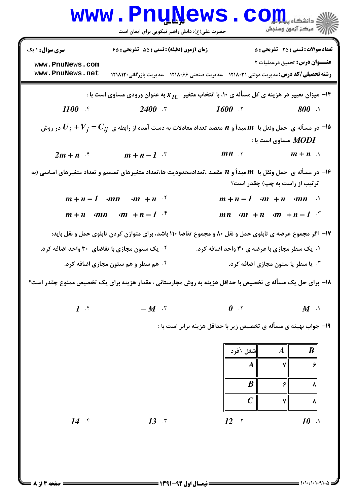|                                                           | <u>WWW • FIIUTAAMP</u><br>حضرت علی(ع): دانش راهبر نیکویی برای ایمان است                                                                                  |                                                                              |                                                                                       |
|-----------------------------------------------------------|----------------------------------------------------------------------------------------------------------------------------------------------------------|------------------------------------------------------------------------------|---------------------------------------------------------------------------------------|
| سری سوال: ۱ یک<br>www.PnuNews.com<br>www.PnuNews.net      | زمان آزمون (دقیقه) : تستی : 55 تشریحی : 68<br><b>رشته تحصیلی/کد درس:</b> مدیریت دولتی ۱۲۱۸۰۳۱ - ،مدیریت صنعتی ۱۲۱۸۰۶۶ - ،مدیریت بازرگانی۱۲۱۸۱۲۰          |                                                                              | <b>تعداد سوالات : تستی : 25 - تشریحی : 5</b><br><b>عنـــوان درس:</b> تحقیق درعملیات ۲ |
|                                                           | : 14 میزان تغییر در هزینه ی کل مسأله ی ۱۰، با انتخاب متغیر $r_{IC}$ به عنوان ورودی مساوی است با $\cdot$<br>1100 f 2400 f 1600 f 800 h                    |                                                                              |                                                                                       |
|                                                           | در مسأله ی حمل ونقل با $m$ مبدأ و $n$ مقصد تعداد معادلات به دست آمده از رابطه ی $C_{ij}=U_i+V_j=1$ در روش $\hbox{\tt -10}$<br>$2m + n$ f $m + n - 1$ f   | $mn \rightarrow$ $m+n$                                                       | ، مساوی است با $\bm{MODI}$                                                            |
|                                                           | ا– در مسأله ی حمل ونقل با $\,m\,$ مبدأ و $\,n\,$ مقصد ،تعدادمحدودیت ها،تعداد متغیرهای تصمیم و تعداد متغیرهای اساسی (به $\,$                              |                                                                              | تر تیب از راست به چپ) چقدر است؟                                                       |
|                                                           | $m+n-1$ and an $+m$<br>$m+n$ $mn$ $m+n-1$ <sup>*</sup>                                                                                                   | $m+n-1$ $m+n$ $mn$ $\cdots$<br>$mn$ $m + n$ $m + n - 1$                      |                                                                                       |
| <sup>۲</sup> ۰ یک ستون مجازی با تقاضای ۳۰ واحد اضافه کرد. | ۱۷- اگر مجموع عرضه ی تابلوی حمل و نقل ۸۰ و مجموع تقاضا ۱۱۰ باشد، برای متوازن کردن تابلوی حمل و نقل باید:                                                 | ۰۱ یک سطر مجازی با عرضه ی ۳۰ واحد اضافه کرد.                                 |                                                                                       |
|                                                           | ۰۴ هم سطر و هم ستون مجازی اضافه کرد.<br><b>۱۸</b> – برای حل یک مسأله ی تخصیص با حداقل هزینه به روش مجارستانی ، مقدار هزینه برای یک تخصیص ممنوع چقدر است؟ |                                                                              | لا یا سطر یا ستون مجازی اضافه کرد. "                                                  |
| $1 \cdot$                                                 | $-M$ $\cdot$                                                                                                                                             | $\boldsymbol{\theta}$ . $\boldsymbol{\mathsf{v}}$                            | $M$ <sup>.1</sup>                                                                     |
|                                                           |                                                                                                                                                          | ۱۹- جواب بهینه ی مسأله ی تخصیص زیر با حداقل هزینه برابر است با :<br>شغل \فرد | $\boldsymbol{B}$<br>$\boldsymbol{A}$                                                  |
|                                                           |                                                                                                                                                          | $\boldsymbol{A}$                                                             |                                                                                       |
|                                                           |                                                                                                                                                          | $\boldsymbol{B}$<br>$\mathcal C$                                             | ۶<br>۸<br>۷<br>۸                                                                      |
| $14$ $\cdot$                                              | $13$ $\cdot$                                                                                                                                             | $12$ $\gamma$                                                                | $10$ $\lambda$                                                                        |

**: صفحه 4 از 8 =**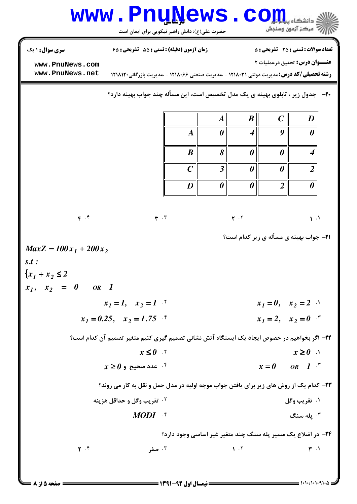| WWW.PnuNews.com<br><sup>ء</sup> َ مرڪز آزمون وسنڊش<br>حضرت علی(ع): دانش راهبر نیکویی برای ایمان است |                                                                                                                                                   |  |                  |   |                       |   |                                                                                       |  |  |  |
|-----------------------------------------------------------------------------------------------------|---------------------------------------------------------------------------------------------------------------------------------------------------|--|------------------|---|-----------------------|---|---------------------------------------------------------------------------------------|--|--|--|
| <b>سری سوال : ۱ ی</b> ک<br>www.PnuNews.com<br>www.PnuNews.net                                       | زمان آزمون (دقیقه) : تستی : 55 ٪ تشریحی : 65<br><b>رشته تحصیلی/کد درس:</b> مدیریت دولتی ۱۲۱۸۰۳۱ - ،مدیریت صنعتی ۱۲۱۸۰۶۶ - ،مدیریت بازرگانی۱۲۱۸۱۲۰ |  |                  |   |                       |   | <b>تعداد سوالات : تستی : 25 ۔ تشریحی : 5</b><br><b>عنـــوان درس:</b> تحقیق درعملیات ۲ |  |  |  |
|                                                                                                     | <b>۳۰</b> - جدول زیر ، تابلوی بهینه ی یک مدل تخصیص است، این مسأله چند جواب بهینه دارد؟                                                            |  |                  |   |                       |   |                                                                                       |  |  |  |
|                                                                                                     |                                                                                                                                                   |  |                  |   | $\boldsymbol{B}$      |   | D                                                                                     |  |  |  |
|                                                                                                     |                                                                                                                                                   |  |                  | 0 | $\boldsymbol{4}$      | Q | 0                                                                                     |  |  |  |
|                                                                                                     |                                                                                                                                                   |  | $\boldsymbol{R}$ |   | $\boldsymbol{\theta}$ |   |                                                                                       |  |  |  |

 $\overline{C}$ 

D

 $\mathbf{r}$ .

 $\overline{3}$ 

 $\boldsymbol{\theta}$ 

 $Y \cdot Y$ 

 $\boldsymbol{\theta}$ 

 $\boldsymbol{\theta}$ 

 $\boldsymbol{\theta}$ 

 $\overline{2}$ 

**۲۱- جواب بهینه ی مسأله ی زیر کدام است؟** 

 $x_1 = 0$ ,  $x_2 = 2$ 

 $x_1 = 2$ ,  $x_2 = 0$ .

 $x=0$  OR 1.

 $x \geq 0$  .

۰۱ تقریب وگل

 $MODI$   $\mathcal{N}$ يله سنگ  $\cdot^{\mathsf{r}}$ 

۲۳- کدام یک از روش های زیر برای یافتن جواب موجه اولیه در مدل حمل و نقل به کار می روند؟

۲۴- در اضلاع یک مسیر پله سنگ چند متغیر غیر اساسی وجود دارد؟

 $\Upsilon$ .  $\Upsilon$ ۰۳ صفر  $1.7$  $\mathbf{r}$ .

٢٢- اگر بخواهيم در خصوص ايجاد يک ايستگاه آتش نشاني تصميم گيري کنيم متغير تصميم آن کدام است؟

 $F. f$ 

 $OR$  1

 $x_1 = 1$ ,  $x_2 = 1$ .

 $x \geq 0$  عدد صحيح و  $^5$ 

**10 تقريب وگل و حداقل هزينه** 

 $x \leq 0$  .  $\zeta$ 

 $x_1 = 0.25$ ,  $x_2 = 1.75$ 

 $MaxZ = 100x_1 + 200x_2$ 

 $s.t.$ 

 ${x_1 + x_2 \leq 2}$ 

 $x_1, x_2 = 0$ 

 $= 1.1.11.1.91.4$ 

 $\overline{2}$ 

 $\boldsymbol{\theta}$ 

 $\mathbf{1}$ .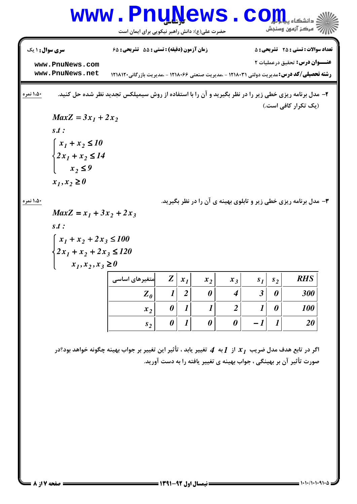## **www.PnuNews.com** الله آه مرکز آزمون وسنجش حضرت علی(ع): دانش راهبر نیکویی برای ایمان است **تعداد سوالات : تستی : 25 - تشریحی : 5 سری سوال : ۱ یک** زمان آزمون (دقیقه) : تستی : 55 ٪ تشریحی : 65 عنــوان درس: تحقیق درعملیات ٢ www.PnuNews.com www.PnuNews.net **رشته تحصیلی/کد درس:**مدیریت دولتی ۱۲۱۸۰۳۱ - ،مدیریت صنعتی ۱۲۱۸۰۶۶ - ،مدیریت بازرگانی۱۲۱۸۱۲۰ ۱،۵۰ نم<mark>ره</mark> ۲- مدل برنامه ریزی خطی زیر را در نظر بگیرید و آن را با استفاده از روش سیمپلکس تجدید نظر شده حل کنید. (یک تکرار کافی است.)  $MaxZ = 3x_1 + 2x_2$  $s.t.$  $\begin{cases} x_1 + x_2 \le 10 \end{cases}$  $\{2x_1 + x_2 \le 14$  $x_2 \leq 9$  $x_1, x_2 \ge 0$

۱،۵۰ نمره

۳- مدل برنامه ریزی خطی زیر و تابلوی بهینه ی آن را در نظر بگیرید.

$$
MaxZ = x_1 + 3x_2 + 2x_3
$$
  
s.t :

$$
\begin{cases} x_1 + x_2 + 2x_3 \le 100 \\ 2x_1 + x_2 + 2x_3 \le 120 \\ x_1, x_2, x_3 \ge 0 \end{cases}
$$

| متغیرهای اساسی | $Z \mid$ | $x_1$ | $x_2$ | $x_3$ | $s_{1}$ | $s_2$ | <b>RHS</b> |
|----------------|----------|-------|-------|-------|---------|-------|------------|
| $Z_{\theta}$   |          | Δ     | 0     |       | 2<br>J  | 0     | 300        |
| $x_2$          |          |       |       |       |         |       | <b>100</b> |
| s <sub>2</sub> |          |       |       |       |         |       | ZU         |

اگر در تابع هدف مدل ضریب  $x_J$  از  $I$ به  $\bm{A}$  تغییر یابد ، تأثیر این تغییر بر جواب بهینه چگونه خواهد بود؟در صورت تأثیر آن بر بهینگی ، جواب بهینه ی تغییر یافته را به دست آورید.

**: صفحه 7 از 8 =**